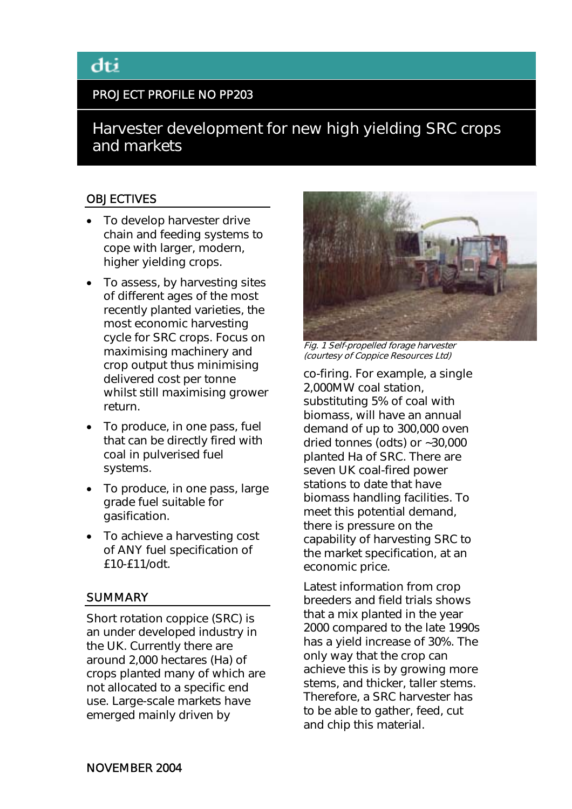# PROJECT PROFILE NO PP203

Harvester development for new high yielding SRC crops and markets

# **OBJECTIVES**

- To develop harvester drive chain and feeding systems to cope with larger, modern, higher yielding crops.
- To assess, by harvesting sites of different ages of the most recently planted varieties, the most economic harvesting cycle for SRC crops. Focus on maximising machinery and crop output thus minimising delivered cost per tonne whilst still maximising grower return.
- To produce, in one pass, fuel that can be directly fired with coal in pulverised fuel systems.
- To produce, in one pass, large grade fuel suitable for gasification.
- To achieve a harvesting cost of ANY fuel specification of £10-£11/odt.

#### **SUMMARY**

Short rotation coppice (SRC) is an under developed industry in the UK. Currently there are around 2,000 hectares (Ha) of crops planted many of which are not allocated to a specific end use. Large-scale markets have emerged mainly driven by



Fig. 1 Self-propelled forage harvester (courtesy of Coppice Resources Ltd)

co-firing. For example, a single 2,000MW coal station, substituting 5% of coal with biomass, will have an annual demand of up to 300,000 oven dried tonnes (odts) or ~30,000 planted Ha of SRC. There are seven UK coal-fired power stations to date that have biomass handling facilities. To meet this potential demand, there is pressure on the capability of harvesting SRC to the market specification, at an economic price.

Latest information from crop breeders and field trials shows that a mix planted in the year 2000 compared to the late 1990s has a yield increase of 30%. The only way that the crop can achieve this is by growing more stems, and thicker, taller stems. Therefore, a SRC harvester has to be able to gather, feed, cut and chip this material.